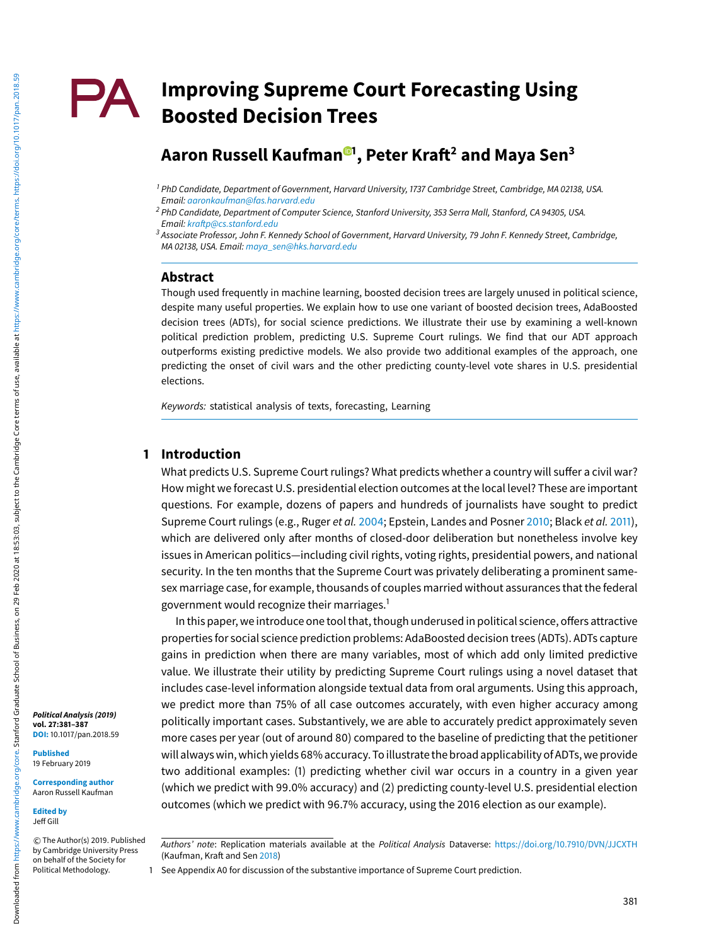## **Improving Supreme Court Forecasting Using** PA. **Boosted Decision Trees**

# **Aaron Russell Kaufman <sup>1</sup> , Peter Kraft2 and Maya Sen3**

#### **Abstract**

Though used frequently in machine learning, boosted decision trees are largely unused in political science, despite many useful properties. We explain how to use one variant of boosted decision trees, AdaBoosted decision trees (ADTs), for social science predictions. We illustrate their use by examining a well-known political prediction problem, predicting U.S. Supreme Court rulings. We find that our ADT approach outperforms existing predictive models. We also provide two additional examples of the approach, one predicting the onset of civil wars and the other predicting county-level vote shares in U.S. presidential elections.

Keywords: statistical analysis of texts, forecasting, Learning

## **1 Introduction**

What predicts U.S. Supreme Court rulings? What predicts whether a country will suffer a civil war? How might we forecast U.S. presidential election outcomes at the local level? These are important questions. For example, dozens of papers and hundreds of journalists have sought to predict Supreme Court rulings (e.g., Ruger et al. 2004; Epstein, Landes and Posner 2010; Black et al. 2011), which are delivered only after months of closed-door deliberation but nonetheless involve key issues in American politics—including civil rights, voting rights, presidential powers, and national security. In the ten months that the Supreme Court was privately deliberating a prominent samesex marriage case, for example, thousands of couples married without assurances that the federal government would recognize their marriages.1

In this paper, we introduce one tool that, though underused in political science, offers attractive properties for social science prediction problems: AdaBoosted decision trees (ADTs). ADTs capture gains in prediction when there are many variables, most of which add only limited predictive value. We illustrate their utility by predicting Supreme Court rulings using a novel dataset that includes case-level information alongside textual data from oral arguments. Using this approach, we predict more than 75% of all case outcomes accurately, with even higher accuracy among politically important cases. Substantively, we are able to accurately predict approximately seven more cases per year (out of around 80) compared to the baseline of predicting that the petitioner will always win, which yields 68% accuracy. To illustrate the broad applicability of ADTs, we provide two additional examples: (1) predicting whether civil war occurs in a country in a given year (which we predict with 99.0% accuracy) and (2) predicting county-level U.S. presidential election outcomes (which we predict with 96.7% accuracy, using the 2016 election as our example).

**Published** 19 February 2019

**Corresponding author** Aaron Russell Kaufman

**Edited by** Jeff Gill

-c The Author(s) 2019. Published by Cambridge University Press on behalf of the Society for Political Methodology.

<sup>&</sup>lt;sup>1</sup> PhD Candidate, Department of Government, Harvard University, 1737 Cambridge Street, Cambridge, MA 02138, USA. Email: aaronkaufman@fas.harvard.edu

<sup>&</sup>lt;sup>2</sup> PhD Candidate, Department of Computer Science, Stanford University, 353 Serra Mall, Stanford, CA 94305, USA. Email: kraftp@cs.stanford.edu

<sup>&</sup>lt;sup>3</sup> Associate Professor, John F. Kennedy School of Government, Harvard University, 79 John F. Kennedy Street, Cambridge, MA 02138, USA. Email: maya\_sen@hks.harvard.edu

**Political Analysis (2019) vol. 27:381–387 DOI:** 10.1017/pan.2018.59

Authors' note: Replication materials available at the Political Analysis Dataverse: https://doi.org/10.7910/DVN/JJCXTH (Kaufman, Kraft and Sen 2018)

<sup>1</sup> See Appendix A0 for discussion of the substantive importance of Supreme Court prediction.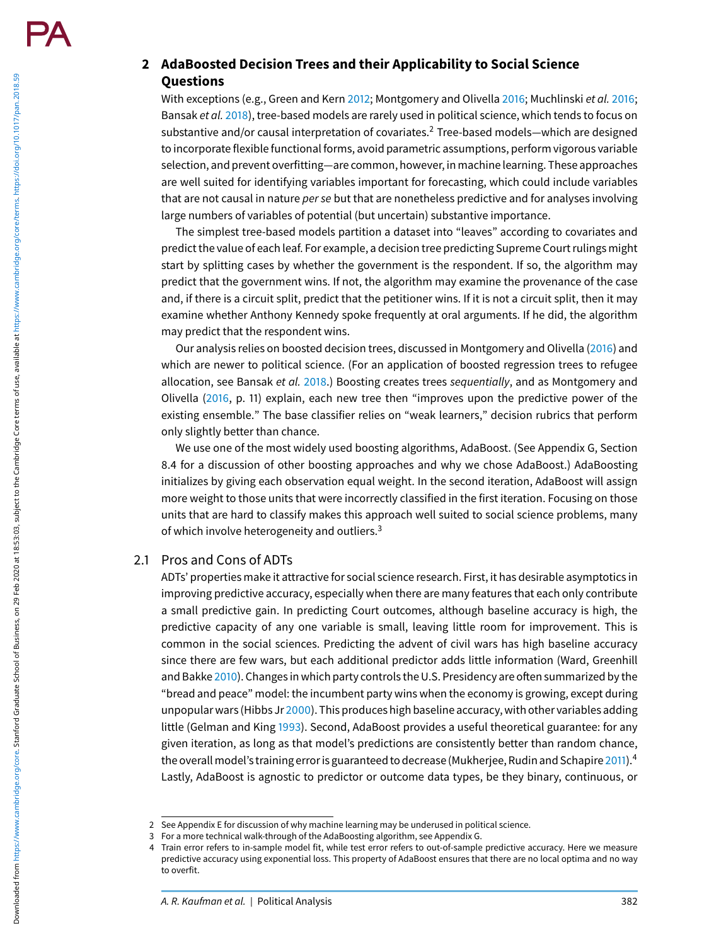## **2 AdaBoosted Decision Trees and their Applicability to Social Science Questions**

With exceptions (e.g., Green and Kern 2012; Montgomery and Olivella 2016; Muchlinski et al. 2016; Bansak et al. 2018), tree-based models are rarely used in political science, which tends to focus on substantive and/or causal interpretation of covariates.<sup>2</sup> Tree-based models—which are designed to incorporate flexible functional forms, avoid parametric assumptions, perform vigorous variable selection, and prevent overfitting—are common, however, in machine learning. These approaches are well suited for identifying variables important for forecasting, which could include variables that are not causal in nature per se but that are nonetheless predictive and for analyses involving large numbers of variables of potential (but uncertain) substantive importance.

The simplest tree-based models partition a dataset into "leaves" according to covariates and predict the value of each leaf. For example, a decision tree predicting Supreme Court rulings might start by splitting cases by whether the government is the respondent. If so, the algorithm may predict that the government wins. If not, the algorithm may examine the provenance of the case and, if there is a circuit split, predict that the petitioner wins. If it is not a circuit split, then it may examine whether Anthony Kennedy spoke frequently at oral arguments. If he did, the algorithm may predict that the respondent wins.

Our analysis relies on boosted decision trees, discussed in Montgomery and Olivella (2016) and which are newer to political science. (For an application of boosted regression trees to refugee allocation, see Bansak et al. 2018.) Boosting creates trees sequentially, and as Montgomery and Olivella (2016, p. 11) explain, each new tree then "improves upon the predictive power of the existing ensemble." The base classifier relies on "weak learners," decision rubrics that perform only slightly better than chance.

We use one of the most widely used boosting algorithms, AdaBoost. (See Appendix G, Section 8.4 for a discussion of other boosting approaches and why we chose AdaBoost.) AdaBoosting initializes by giving each observation equal weight. In the second iteration, AdaBoost will assign more weight to those units that were incorrectly classified in the first iteration. Focusing on those units that are hard to classify makes this approach well suited to social science problems, many of which involve heterogeneity and outliers.<sup>3</sup>

## 2.1 Pros and Cons of ADTs

ADTs' properties make it attractive for social science research. First, it has desirable asymptotics in improving predictive accuracy, especially when there are many features that each only contribute a small predictive gain. In predicting Court outcomes, although baseline accuracy is high, the predictive capacity of any one variable is small, leaving little room for improvement. This is common in the social sciences. Predicting the advent of civil wars has high baseline accuracy since there are few wars, but each additional predictor adds little information (Ward, Greenhill and Bakke 2010). Changes in which party controls the U.S. Presidency are often summarized by the "bread and peace" model: the incumbent party wins when the economy is growing, except during unpopular wars (Hibbs Jr 2000). This produces high baseline accuracy, with other variables adding little (Gelman and King 1993). Second, AdaBoost provides a useful theoretical guarantee: for any given iteration, as long as that model's predictions are consistently better than random chance, the overall model's training error is guaranteed to decrease (Mukherjee, Rudin and Schapire 2011).<sup>4</sup> Lastly, AdaBoost is agnostic to predictor or outcome data types, be they binary, continuous, or

<sup>2</sup> See Appendix E for discussion of why machine learning may be underused in political science.

<sup>3</sup> For a more technical walk-through of the AdaBoosting algorithm, see Appendix G.

<sup>4</sup> Train error refers to in-sample model fit, while test error refers to out-of-sample predictive accuracy. Here we measure predictive accuracy using exponential loss. This property of AdaBoost ensures that there are no local optima and no way to overfit.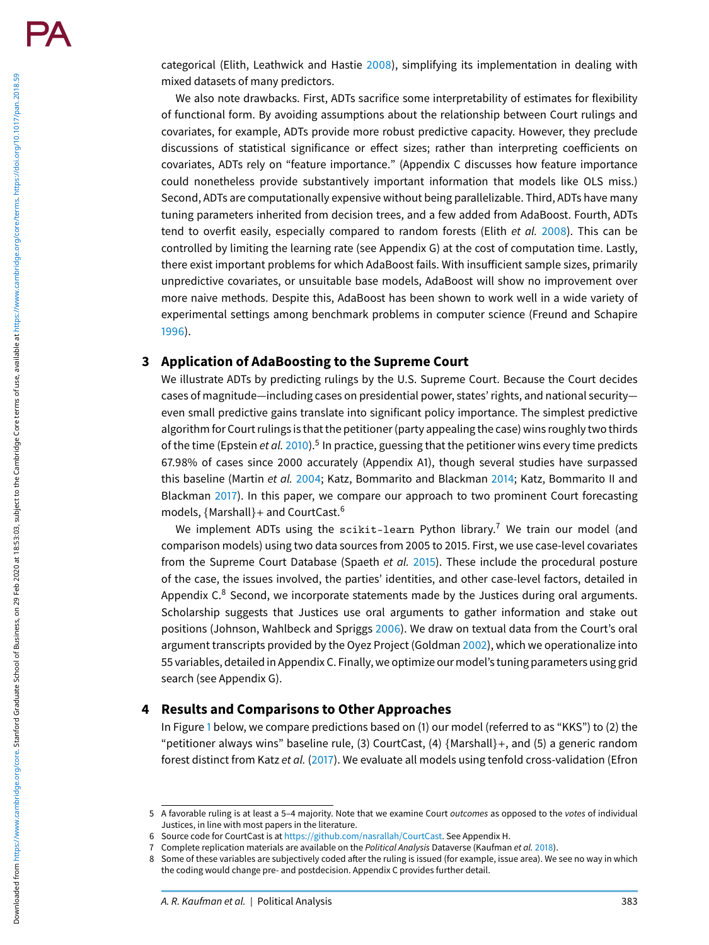categorical (Elith, Leathwick and Hastie 2008), simplifying its implementation in dealing with mixed datasets of many predictors.

We also note drawbacks. First, ADTs sacrifice some interpretability of estimates for flexibility of functional form. By avoiding assumptions about the relationship between Court rulings and covariates, for example, ADTs provide more robust predictive capacity. However, they preclude discussions of statistical significance or effect sizes; rather than interpreting coefficients on covariates, ADTs rely on "feature importance." (Appendix C discusses how feature importance could nonetheless provide substantively important information that models like OLS miss.) Second, ADTs are computationally expensive without being parallelizable. Third, ADTs have many tuning parameters inherited from decision trees, and a few added from AdaBoost. Fourth, ADTs tend to overfit easily, especially compared to random forests (Elith et al. 2008). This can be controlled by limiting the learning rate (see Appendix G) at the cost of computation time. Lastly, there exist important problems for which AdaBoost fails. With insufficient sample sizes, primarily unpredictive covariates, or unsuitable base models, AdaBoost will show no improvement over more naive methods. Despite this, AdaBoost has been shown to work well in a wide variety of experimental settings among benchmark problems in computer science (Freund and Schapire 1996).

## **3 Application of AdaBoosting to the Supreme Court**

We illustrate ADTs by predicting rulings by the U.S. Supreme Court. Because the Court decides cases of magnitude—including cases on presidential power, states' rights, and national security even small predictive gains translate into significant policy importance. The simplest predictive algorithm for Court rulings is that the petitioner (party appealing the case) wins roughly two thirds of the time (Epstein et al.  $2010$ ).<sup>5</sup> In practice, guessing that the petitioner wins every time predicts 67.98% of cases since 2000 accurately (Appendix A1), though several studies have surpassed this baseline (Martin et al. 2004; Katz, Bommarito and Blackman 2014; Katz, Bommarito II and Blackman 2017). In this paper, we compare our approach to two prominent Court forecasting models, {Marshall}+ and CourtCast.<sup>6</sup>

We implement ADTs using the scikit-learn Python library.<sup>7</sup> We train our model (and comparison models) using two data sources from 2005 to 2015. First, we use case-level covariates from the Supreme Court Database (Spaeth et al. 2015). These include the procedural posture of the case, the issues involved, the parties' identities, and other case-level factors, detailed in Appendix  $C<sup>8</sup>$  Second, we incorporate statements made by the Justices during oral arguments. Scholarship suggests that Justices use oral arguments to gather information and stake out positions (Johnson, Wahlbeck and Spriggs 2006). We draw on textual data from the Court's oral argument transcripts provided by the Oyez Project (Goldman 2002), which we operationalize into 55 variables, detailed in Appendix C. Finally, we optimize our model's tuning parameters using grid search (see Appendix G).

## **4 Results and Comparisons to Other Approaches**

In Figure 1 below, we compare predictions based on (1) our model (referred to as "KKS") to (2) the "petitioner always wins" baseline rule, (3) CourtCast, (4)  ${Marshall}$ , and (5) a generic random forest distinct from Katz et al. (2017). We evaluate all models using tenfold cross-validation (Efron

<sup>5</sup> A favorable ruling is at least a 5–4 majority. Note that we examine Court outcomes as opposed to the votes of individual Justices, in line with most papers in the literature.

<sup>6</sup> Source code for CourtCast is at https://github.com/nasrallah/CourtCast. See Appendix H.

<sup>7</sup> Complete replication materials are available on the Political Analysis Dataverse (Kaufman et al. 2018).

<sup>8</sup> Some of these variables are subjectively coded after the ruling is issued (for example, issue area). We see no way in which the coding would change pre- and postdecision. Appendix C provides further detail.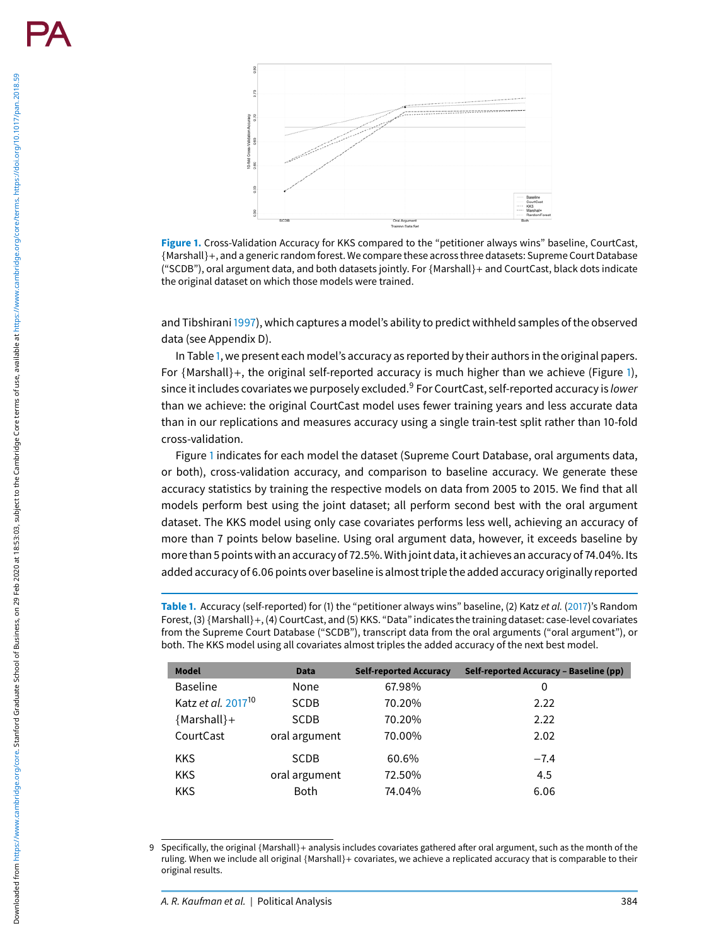

**Figure 1.** Cross-Validation Accuracy for KKS compared to the "petitioner always wins" baseline, CourtCast, {Marshall}+, and a generic random forest. We compare these across three datasets: Supreme Court Database ("SCDB"), oral argument data, and both datasets jointly. For {Marshall}+ and CourtCast, black dots indicate the original dataset on which those models were trained.

and Tibshirani1997), which captures a model's ability to predict withheld samples of the observed data (see Appendix D).

In Table 1, we present each model's accuracy as reported by their authors in the original papers. For {Marshall}+, the original self-reported accuracy is much higher than we achieve (Figure 1), since it includes covariates we purposely excluded.<sup>9</sup> For CourtCast, self-reported accuracy is *lower* than we achieve: the original CourtCast model uses fewer training years and less accurate data than in our replications and measures accuracy using a single train-test split rather than 10-fold cross-validation.

Figure 1 indicates for each model the dataset (Supreme Court Database, oral arguments data, or both), cross-validation accuracy, and comparison to baseline accuracy. We generate these accuracy statistics by training the respective models on data from 2005 to 2015. We find that all models perform best using the joint dataset; all perform second best with the oral argument dataset. The KKS model using only case covariates performs less well, achieving an accuracy of more than 7 points below baseline. Using oral argument data, however, it exceeds baseline by more than 5 points with an accuracy of 72.5%. With joint data, it achieves an accuracy of 74.04%. Its added accuracy of 6.06 points over baseline is almost triple the added accuracy originally reported

**Table 1.** Accuracy (self-reported) for (1) the "petitioner always wins" baseline, (2) Katz et al. (2017)'s Random Forest, (3) {Marshall}+, (4) CourtCast, and (5) KKS. "Data" indicates the training dataset: case-level covariates from the Supreme Court Database ("SCDB"), transcript data from the oral arguments ("oral argument"), or both. The KKS model using all covariates almost triples the added accuracy of the next best model.

| <b>Model</b>                   | <b>Data</b>   | <b>Self-reported Accuracy</b> | Self-reported Accuracy - Baseline (pp) |
|--------------------------------|---------------|-------------------------------|----------------------------------------|
| <b>Baseline</b>                | None          | 67.98%                        | 0                                      |
| Katz et al. 2017 <sup>10</sup> | <b>SCDB</b>   | 70.20%                        | 2.22                                   |
| ${Marshall}+$                  | <b>SCDB</b>   | 70.20%                        | 2.22                                   |
| CourtCast                      | oral argument | 70.00%                        | 2.02                                   |
| <b>KKS</b>                     | <b>SCDB</b>   | 60.6%                         | $-7.4$                                 |
| <b>KKS</b>                     | oral argument | 72.50%                        | 4.5                                    |
| <b>KKS</b>                     | <b>Both</b>   | 74.04%                        | 6.06                                   |

<sup>9</sup> Specifically, the original {Marshall}+ analysis includes covariates gathered after oral argument, such as the month of the ruling. When we include all original {Marshall}+ covariates, we achieve a replicated accuracy that is comparable to their original results.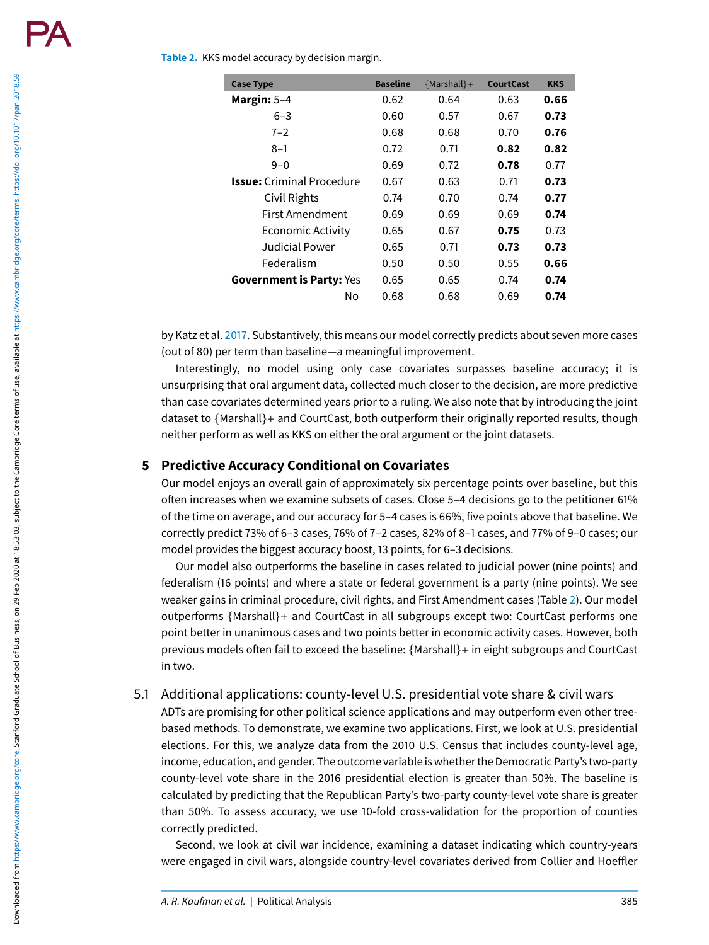#### **Table 2.** KKS model accuracy by decision margin.

| <b>Case Type</b>                 | <b>Baseline</b> | ${Marshall}+$ | <b>CourtCast</b> | <b>KKS</b> |
|----------------------------------|-----------------|---------------|------------------|------------|
| Margin: $5-4$                    | 0.62            | 0.64          | 0.63             | 0.66       |
| $6 - 3$                          | 0.60            | 0.57          | 0.67             | 0.73       |
| $7 - 2$                          | 0.68            | 0.68          | 0.70             | 0.76       |
| $8 - 1$                          | 0.72            | 0.71          | 0.82             | 0.82       |
| $9 - 0$                          | 0.69            | 0.72          | 0.78             | 0.77       |
| <b>Issue:</b> Criminal Procedure | 0.67            | 0.63          | 0.71             | 0.73       |
| Civil Rights                     | 0.74            | 0.70          | 0.74             | 0.77       |
| First Amendment                  | 0.69            | 0.69          | 0.69             | 0.74       |
| Economic Activity                | 0.65            | 0.67          | 0.75             | 0.73       |
| Judicial Power                   | 0.65            | 0.71          | 0.73             | 0.73       |
| Federalism                       | 0.50            | 0.50          | 0.55             | 0.66       |
| <b>Government is Party: Yes</b>  | 0.65            | 0.65          | 0.74             | 0.74       |
| N٥                               | 0.68            | 0.68          | 0.69             | 0.74       |

by Katz et al. 2017. Substantively, this means our model correctly predicts about seven more cases (out of 80) per term than baseline—a meaningful improvement.

Interestingly, no model using only case covariates surpasses baseline accuracy; it is unsurprising that oral argument data, collected much closer to the decision, are more predictive than case covariates determined years prior to a ruling. We also note that by introducing the joint dataset to {Marshall}+ and CourtCast, both outperform their originally reported results, though neither perform as well as KKS on either the oral argument or the joint datasets.

## **5 Predictive Accuracy Conditional on Covariates**

Our model enjoys an overall gain of approximately six percentage points over baseline, but this often increases when we examine subsets of cases. Close 5–4 decisions go to the petitioner 61% of the time on average, and our accuracy for 5–4 cases is 66%, five points above that baseline. We correctly predict 73% of 6–3 cases, 76% of 7–2 cases, 82% of 8–1 cases, and 77% of 9–0 cases; our model provides the biggest accuracy boost, 13 points, for 6–3 decisions.

Our model also outperforms the baseline in cases related to judicial power (nine points) and federalism (16 points) and where a state or federal government is a party (nine points). We see weaker gains in criminal procedure, civil rights, and First Amendment cases (Table 2). Our model outperforms {Marshall}+ and CourtCast in all subgroups except two: CourtCast performs one point better in unanimous cases and two points better in economic activity cases. However, both previous models often fail to exceed the baseline: {Marshall}+ in eight subgroups and CourtCast in two.

### 5.1 Additional applications: county-level U.S. presidential vote share & civil wars

ADTs are promising for other political science applications and may outperform even other treebased methods. To demonstrate, we examine two applications. First, we look at U.S. presidential elections. For this, we analyze data from the 2010 U.S. Census that includes county-level age, income, education, and gender. The outcome variable is whether the Democratic Party's two-party county-level vote share in the 2016 presidential election is greater than 50%. The baseline is calculated by predicting that the Republican Party's two-party county-level vote share is greater than 50%. To assess accuracy, we use 10-fold cross-validation for the proportion of counties correctly predicted.

Second, we look at civil war incidence, examining a dataset indicating which country-years were engaged in civil wars, alongside country-level covariates derived from Collier and Hoeffler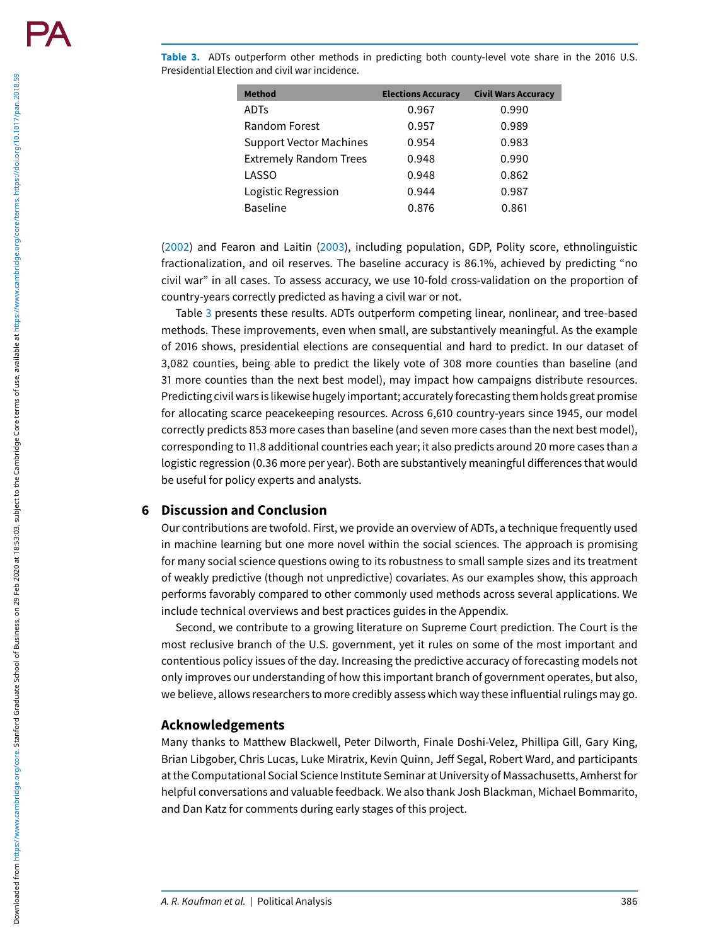**Table 3.** ADTs outperform other methods in predicting both county-level vote share in the 2016 U.S. Presidential Election and civil war incidence.

| <b>Method</b>                  | <b>Elections Accuracy</b> | <b>Civil Wars Accuracy</b> |
|--------------------------------|---------------------------|----------------------------|
| <b>ADTs</b>                    | 0.967                     | 0.990                      |
| Random Forest                  | 0.957                     | 0.989                      |
| <b>Support Vector Machines</b> | 0.954                     | 0.983                      |
| <b>Extremely Random Trees</b>  | 0.948                     | 0.990                      |
| LASSO                          | 0.948                     | 0.862                      |
| Logistic Regression            | 0.944                     | 0.987                      |
| <b>Baseline</b>                | 0.876                     | 0.861                      |

(2002) and Fearon and Laitin (2003), including population, GDP, Polity score, ethnolinguistic fractionalization, and oil reserves. The baseline accuracy is 86.1%, achieved by predicting "no civil war" in all cases. To assess accuracy, we use 10-fold cross-validation on the proportion of country-years correctly predicted as having a civil war or not.

Table 3 presents these results. ADTs outperform competing linear, nonlinear, and tree-based methods. These improvements, even when small, are substantively meaningful. As the example of 2016 shows, presidential elections are consequential and hard to predict. In our dataset of 3,082 counties, being able to predict the likely vote of 308 more counties than baseline (and 31 more counties than the next best model), may impact how campaigns distribute resources. Predicting civil wars is likewise hugely important; accurately forecasting them holds great promise for allocating scarce peacekeeping resources. Across 6,610 country-years since 1945, our model correctly predicts 853 more cases than baseline (and seven more cases than the next best model), corresponding to 11.8 additional countries each year; it also predicts around 20 more cases than a logistic regression (0.36 more per year). Both are substantively meaningful differences that would be useful for policy experts and analysts.

## **6 Discussion and Conclusion**

Our contributions are twofold. First, we provide an overview of ADTs, a technique frequently used in machine learning but one more novel within the social sciences. The approach is promising for many social science questions owing to its robustness to small sample sizes and its treatment of weakly predictive (though not unpredictive) covariates. As our examples show, this approach performs favorably compared to other commonly used methods across several applications. We include technical overviews and best practices guides in the Appendix.

Second, we contribute to a growing literature on Supreme Court prediction. The Court is the most reclusive branch of the U.S. government, yet it rules on some of the most important and contentious policy issues of the day. Increasing the predictive accuracy of forecasting models not only improves our understanding of how this important branch of government operates, but also, we believe, allows researchers to more credibly assess which way these influential rulings may go.

### **Acknowledgements**

Many thanks to Matthew Blackwell, Peter Dilworth, Finale Doshi-Velez, Phillipa Gill, Gary King, Brian Libgober, Chris Lucas, Luke Miratrix, Kevin Quinn, Jeff Segal, Robert Ward, and participants at the Computational Social Science Institute Seminar at University of Massachusetts, Amherst for helpful conversations and valuable feedback. We also thank Josh Blackman, Michael Bommarito, and Dan Katz for comments during early stages of this project.